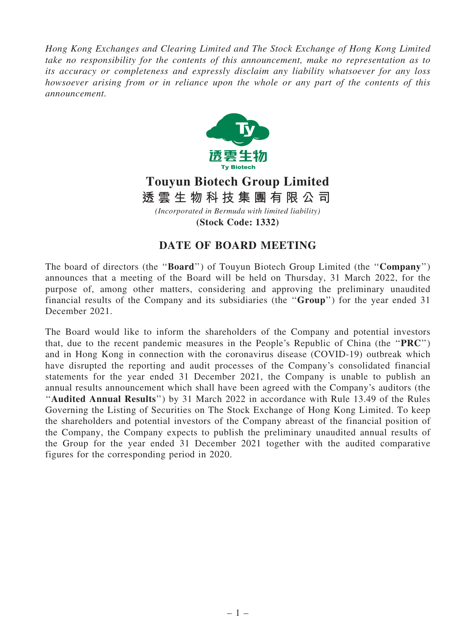Hong Kong Exchanges and Clearing Limited and The Stock Exchange of Hong Kong Limited take no responsibility for the contents of this announcement, make no representation as to its accuracy or completeness and expressly disclaim any liability whatsoever for any loss howsoever arising from or in reliance upon the whole or any part of the contents of this announcement.



## **Touyun Biotech Group Limited** *(Incorporated in Bermuda with limited liability)* **透 雲 生 物 科 技 集 團 有 限 公 司**

**(Stock Code: 1332)**

## DATE OF BOARD MEETING

The board of directors (the "**Board**") of Touyun Biotech Group Limited (the "**Company**") announces that a meeting of the Board will be held on Thursday, 31 March 2022, for the purpose of, among other matters, considering and approving the preliminary unaudited financial results of the Company and its subsidiaries (the ''Group'') for the year ended 31 December 2021.

The Board would like to inform the shareholders of the Company and potential investors that, due to the recent pandemic measures in the People's Republic of China (the ''PRC'') and in Hong Kong in connection with the coronavirus disease (COVID-19) outbreak which have disrupted the reporting and audit processes of the Company's consolidated financial statements for the year ended 31 December 2021, the Company is unable to publish an annual results announcement which shall have been agreed with the Company's auditors (the ''Audited Annual Results'') by 31 March 2022 in accordance with Rule 13.49 of the Rules Governing the Listing of Securities on The Stock Exchange of Hong Kong Limited. To keep the shareholders and potential investors of the Company abreast of the financial position of the Company, the Company expects to publish the preliminary unaudited annual results of the Group for the year ended 31 December 2021 together with the audited comparative figures for the corresponding period in 2020.